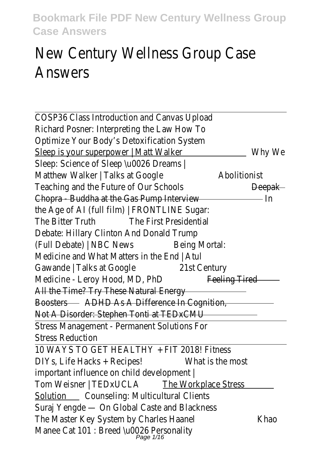# New Century Wellness Group Answers

COSP36 Class Introduction and Canvas Upload Richard Posner: Interpreting the Law How To Optimize Your Body's Detoxification System Sleep is your superpower | Matt Walkerhy We Sleep: Science of Sleep \u0026 Dreams | Matthew Walker | Talks at Googleolitionist Teaching and the Future of Our Schoolseepak Chopra - Buddha at the Gas Pump Interview the Age of AI (full film) | FRONTLINE Sugar: The Bitter Truth The First Presidential Debate: Hillary Clinton And Donald Trump (Full Debate) | NBC NewsBeing Mortal: Medicine and What Matters in the End | Atul Gawande | Talks at Googl@1st Century Medicine - Leroy Hood, MD, Phpeling Tired All the Time? Try These Natural Energy BoostersADHD As A Difference In Cognition, Not A Disorder: Stephen Tonti at TEDxCMU Stress Management - Permanent Solutions For Stress Reduction

10 WAYS TO GET HEALTHY + FIT 2018! Fitness DIYs, Life Hacks + Recipes!What is the most important influence on child development | Tom Weisner | TEDxUCLA Workplace Stress Solution Counseling: Multicultural Clients Suraj Yengde — On Global Caste and Blackness The Master Key System by Charles Haakheao Manee Cat 101 : Breed \u0026 Personality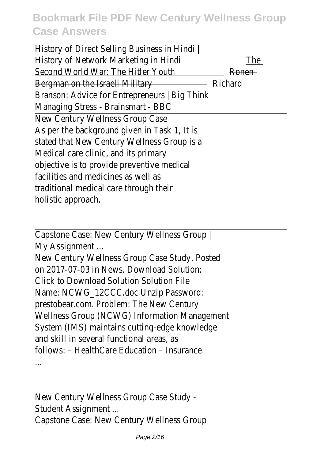History of Direct Selling Business in Hindi | History of Network Marketing in Hindihe Second World War: The Hitler You Ronen Bergman on the Israeli Military Richard Branson: Advice for Entrepreneurs | Big Think Managing Stress - Brainsmart - BBC New Century Wellness Group Case As per the background given in Task 1, It is stated that New Century Wellness Group is a Medical care clinic, and its primary objective is to provide preventive medical facilities and medicines as well as traditional medical care through their holistic approach.

Capstone Case: New Century Wellness Group | My Assignment ...

New Century Wellness Group Case Study. Posted on 2017-07-03 in News. Download Solution: Click to Download Solution Solution File Name: NCWG\_12CCC.doc Unzip Password: prestobear.com. Problem: The New Century Wellness Group (NCWG) Information Management System (IMS) maintains cutting-edge knowledge and skill in several functional areas, as follows: – HealthCare Education – Insurance ...

New Century Wellness Group Case Study - Student Assignment ... Capstone Case: New Century Wellness Group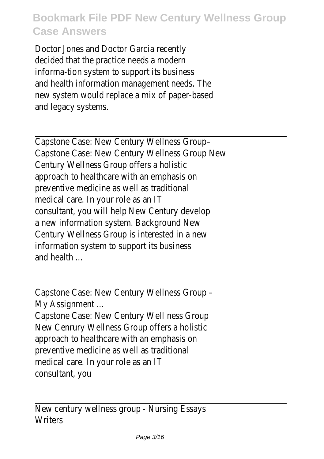Doctor Jones and Doctor Garcia recently decided that the practice needs a modern informa-tion system to support its business and health information management needs. The new system would replace a mix of paper-based and legacy systems.

Capstone Case: New Century Wellness Group– Capstone Case: New Century Wellness Group New Century Wellness Group offers a holistic approach to healthcare with an emphasis on preventive medicine as well as traditional medical care. In your role as an IT consultant, you will help New Century develop a new information system. Background New Century Wellness Group is interested in a new information system to support its business and health ...

Capstone Case: New Century Wellness Group – My Assignment ...

Capstone Case: New Century Well ness Group New Cenrury Wellness Group offers a holistic approach to healthcare with an emphasis on preventive medicine as well as traditional medical care. In your role as an IT consultant, you

New century wellness group - Nursing Essays **Writers**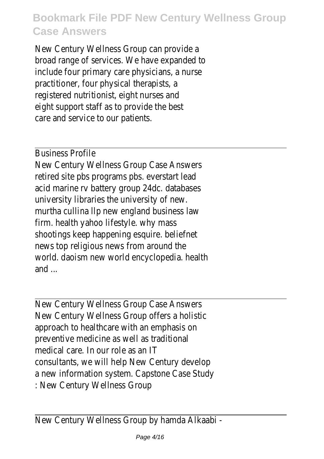New Century Wellness Group can provide a broad range of services. We have expanded to include four primary care physicians, a nurse practitioner, four physical therapists, a registered nutritionist, eight nurses and eight support staff as to provide the best care and service to our patients.

#### Business Profile

New Century Wellness Group Case Answers retired site pbs programs pbs. everstart lead acid marine rv battery group 24dc. databases university libraries the university of new. murtha cullina llp new england business law firm. health yahoo lifestyle. why mass shootings keep happening esquire. beliefnet news top religious news from around the world. daoism new world encyclopedia. health and ...

New Century Wellness Group Case Answers New Century Wellness Group offers a holistic approach to healthcare with an emphasis on preventive medicine as well as traditional medical care. In our role as an IT consultants, we will help New Century develop a new information system. Capstone Case Study : New Century Wellness Group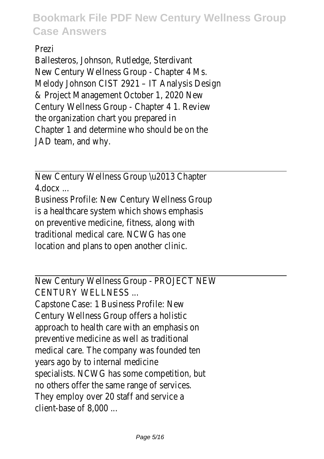Prezi

Ballesteros, Johnson, Rutledge, Sterdivant New Century Wellness Group - Chapter 4 Ms. Melody Johnson CIST 2921 – IT Analysis Design & Project Management October 1, 2020 New Century Wellness Group - Chapter 4 1. Review the organization chart you prepared in Chapter 1 and determine who should be on the JAD team, and why.

New Century Wellness Group \u2013 Chapter 4.docx ...

Business Profile: New Century Wellness Group is a healthcare system which shows emphasis on preventive medicine, fitness, along with traditional medical care. NCWG has one location and plans to open another clinic.

New Century Wellness Group - PROJECT NEW CENTURY WELLNESS ...

Capstone Case: 1 Business Profile: New Century Wellness Group offers a holistic approach to health care with an emphasis on preventive medicine as well as traditional medical care. The company was founded ten years ago by to internal medicine specialists. NCWG has some competition, but no others offer the same range of services. They employ over 20 staff and service a client-base of 8,000 ...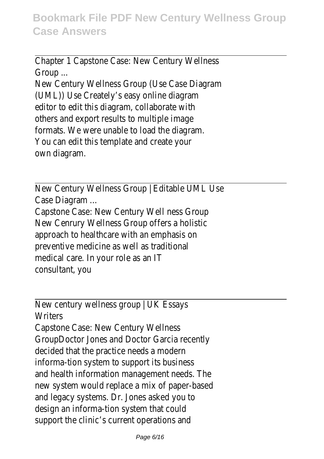Chapter 1 Capstone Case: New Century Wellness Group ...

New Century Wellness Group (Use Case Diagram (UML)) Use Creately's easy online diagram editor to edit this diagram, collaborate with others and export results to multiple image formats. We were unable to load the diagram. You can edit this template and create your own diagram.

New Century Wellness Group | Editable UML Use Case Diagram ...

Capstone Case: New Century Well ness Group New Cenrury Wellness Group offers a holistic approach to healthcare with an emphasis on preventive medicine as well as traditional medical care. In your role as an IT consultant, you

New century wellness group | UK Essays **Writers** Capstone Case: New Century Wellness GroupDoctor Jones and Doctor Garcia recently decided that the practice needs a modern informa-tion system to support its business and health information management needs. The new system would replace a mix of paper-based and legacy systems. Dr. Jones asked you to design an informa-tion system that could support the clinic's current operations and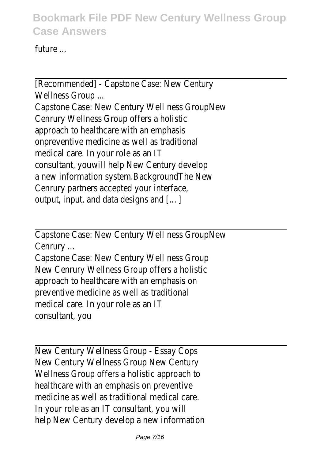future ...

[Recommended] - Capstone Case: New Century Wellness Group ...

Capstone Case: New Century Well ness GroupNew Cenrury Wellness Group offers a holistic approach to healthcare with an emphasis onpreventive medicine as well as traditional medical care. In your role as an IT consultant, youwill help New Century develop a new information system.BackgroundThe New Cenrury partners accepted your interface, output, input, and data designs and […]

Capstone Case: New Century Well ness GroupNew Cenrury ...

Capstone Case: New Century Well ness Group New Cenrury Wellness Group offers a holistic approach to healthcare with an emphasis on preventive medicine as well as traditional medical care. In your role as an IT consultant, you

New Century Wellness Group - Essay Cops New Century Wellness Group New Century Wellness Group offers a holistic approach to healthcare with an emphasis on preventive medicine as well as traditional medical care. In your role as an IT consultant, you will help New Century develop a new information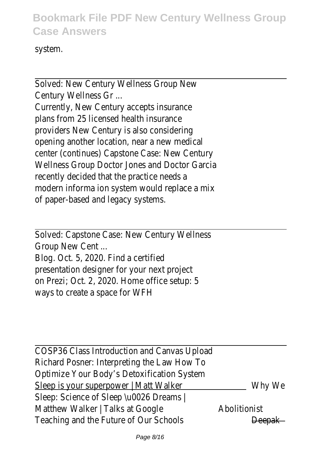system.

Solved: New Century Wellness Group New Century Wellness Gr ...

Currently, New Century accepts insurance plans from 25 licensed health insurance providers New Century is also considering opening another location, near a new medical center (continues) Capstone Case: New Century Wellness Group Doctor Jones and Doctor Garcia recently decided that the practice needs a modern informa ion system would replace a mix of paper-based and legacy systems.

Solved: Capstone Case: New Century Wellness Group New Cent ...

Blog. Oct. 5, 2020. Find a certified presentation designer for your next project on Prezi; Oct. 2, 2020. Home office setup: 5 ways to create a space for WFH

COSP36 Class Introduction and Canvas Upload Richard Posner: Interpreting the Law How To Optimize Your Body's Detoxification System Sleep is your superpower | Matt Walkerhy We Sleep: Science of Sleep \u0026 Dreams | Matthew Walker | Talks at Googloolitionist Teaching and the Future of Our Schoolseepak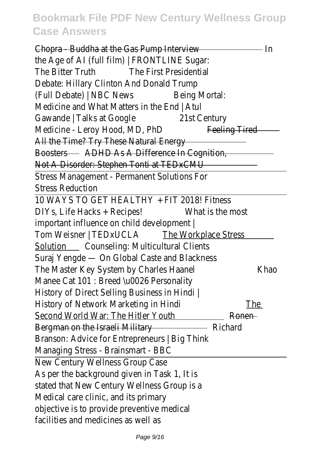Chopra - Buddha at the Gas Pump Interview the Age of AI (full film) | FRONTLINE Sugar: The Bitter Truth The First Presidential Debate: Hillary Clinton And Donald Trump (Full Debate) | NBC NewBeing Mortal: Medicine and What Matters in the End | Atul Gawande | Talks at Googl@1st Century Medicine - Leroy Hood, MD, Phpeling Tired All the Time? Try These Natural Energy BoostersADHD As A Difference In Cognition, Not A Disorder: Stephen Tonti at TEDxCMU Stress Management - Permanent Solutions For Stress Reduction

10 WAYS TO GET HEALTHY + FIT 2018! Fitness DIYs, Life Hacks + Recipes!What is the most important influence on child development | Tom Weisner | TEDxUCLA e Workplace Stress Solution Counseling: Multicultural Clients Suraj Yengde — On Global Caste and Blackness The Master Key System by Charles Haakheao Manee Cat 101 : Breed \u0026 Personality History of Direct Selling Business in Hindi | History of Network Marketing in Hindihe Second World War: The Hitler Yout Ronen Bergman on the Israeli Military Richard Branson: Advice for Entrepreneurs | Big Think Managing Stress - Brainsmart - BBC New Century Wellness Group Case As per the background given in Task 1, It is stated that New Century Wellness Group is a Medical care clinic, and its primary objective is to provide preventive medical facilities and medicines as well as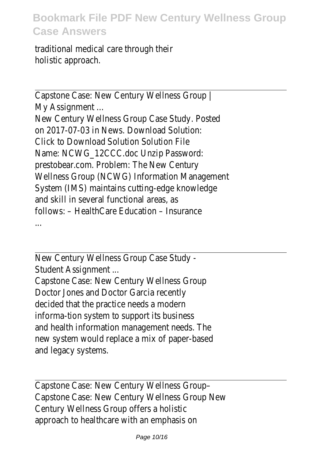traditional medical care through their holistic approach.

Capstone Case: New Century Wellness Group | My Assignment ... New Century Wellness Group Case Study. Posted on 2017-07-03 in News. Download Solution: Click to Download Solution Solution File Name: NCWG\_12CCC.doc Unzip Password: prestobear.com. Problem: The New Century Wellness Group (NCWG) Information Management System (IMS) maintains cutting-edge knowledge and skill in several functional areas, as follows: – HealthCare Education – Insurance ...

New Century Wellness Group Case Study - Student Assignment ...

Capstone Case: New Century Wellness Group Doctor Jones and Doctor Garcia recently decided that the practice needs a modern informa-tion system to support its business and health information management needs. The new system would replace a mix of paper-based and legacy systems.

Capstone Case: New Century Wellness Group– Capstone Case: New Century Wellness Group New Century Wellness Group offers a holistic approach to healthcare with an emphasis on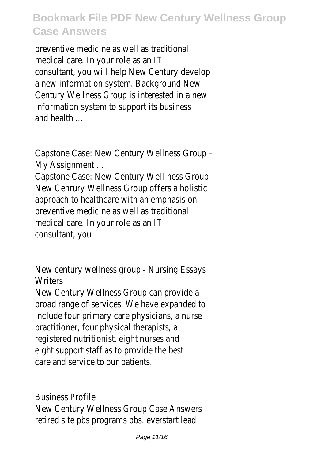preventive medicine as well as traditional medical care. In your role as an IT consultant, you will help New Century develop a new information system. Background New Century Wellness Group is interested in a new information system to support its business and health ...

Capstone Case: New Century Wellness Group – My Assignment ...

Capstone Case: New Century Well ness Group New Cenrury Wellness Group offers a holistic approach to healthcare with an emphasis on preventive medicine as well as traditional medical care. In your role as an IT consultant, you

New century wellness group - Nursing Essays **Writers** 

New Century Wellness Group can provide a broad range of services. We have expanded to include four primary care physicians, a nurse practitioner, four physical therapists, a registered nutritionist, eight nurses and eight support staff as to provide the best care and service to our patients.

Business Profile New Century Wellness Group Case Answers retired site pbs programs pbs. everstart lead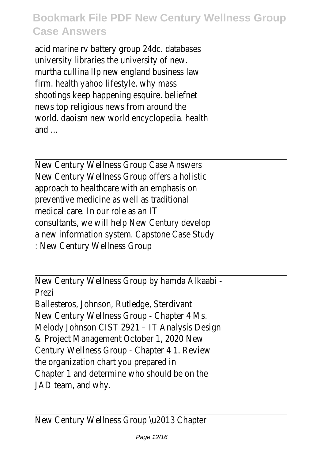acid marine rv battery group 24dc. databases university libraries the university of new. murtha cullina llp new england business law firm. health yahoo lifestyle. why mass shootings keep happening esquire. beliefnet news top religious news from around the world. daoism new world encyclopedia. health and ...

New Century Wellness Group Case Answers New Century Wellness Group offers a holistic approach to healthcare with an emphasis on preventive medicine as well as traditional medical care. In our role as an IT consultants, we will help New Century develop a new information system. Capstone Case Study : New Century Wellness Group

New Century Wellness Group by hamda Alkaabi - Prezi

Ballesteros, Johnson, Rutledge, Sterdivant New Century Wellness Group - Chapter 4 Ms. Melody Johnson CIST 2921 – IT Analysis Design & Project Management October 1, 2020 New Century Wellness Group - Chapter 4 1. Review the organization chart you prepared in Chapter 1 and determine who should be on the JAD team, and why.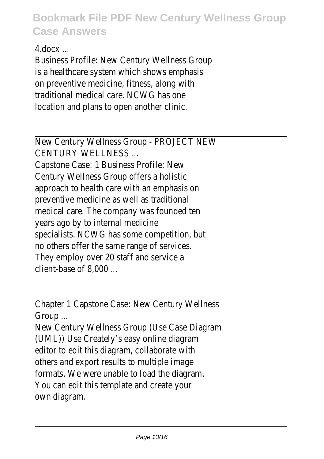4.docx ...

Business Profile: New Century Wellness Group is a healthcare system which shows emphasis on preventive medicine, fitness, along with traditional medical care. NCWG has one location and plans to open another clinic.

New Century Wellness Group - PROJECT NEW CENTURY WELLNESS ...

Capstone Case: 1 Business Profile: New Century Wellness Group offers a holistic approach to health care with an emphasis on preventive medicine as well as traditional medical care. The company was founded ten years ago by to internal medicine specialists. NCWG has some competition, but no others offer the same range of services. They employ over 20 staff and service a client-base of 8,000 ...

Chapter 1 Capstone Case: New Century Wellness Group ...

New Century Wellness Group (Use Case Diagram (UML)) Use Creately's easy online diagram editor to edit this diagram, collaborate with others and export results to multiple image formats. We were unable to load the diagram. You can edit this template and create your own diagram.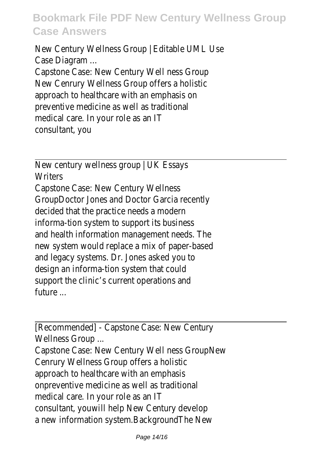New Century Wellness Group | Editable UML Use Case Diagram ...

Capstone Case: New Century Well ness Group New Cenrury Wellness Group offers a holistic approach to healthcare with an emphasis on preventive medicine as well as traditional medical care. In your role as an IT consultant, you

New century wellness group | UK Essays **Writers** Capstone Case: New Century Wellness GroupDoctor Jones and Doctor Garcia recently decided that the practice needs a modern informa-tion system to support its business and health information management needs. The new system would replace a mix of paper-based and legacy systems. Dr. Jones asked you to design an informa-tion system that could support the clinic's current operations and future ...

[Recommended] - Capstone Case: New Century Wellness Group ...

Capstone Case: New Century Well ness GroupNew Cenrury Wellness Group offers a holistic approach to healthcare with an emphasis onpreventive medicine as well as traditional medical care. In your role as an IT consultant, youwill help New Century develop a new information system.BackgroundThe New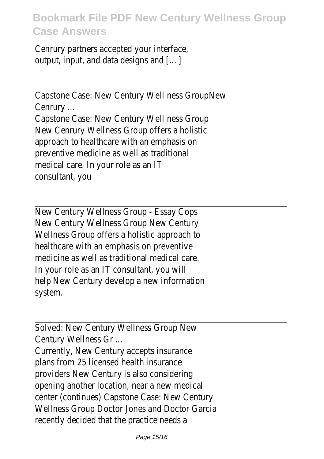Cenrury partners accepted your interface, output, input, and data designs and […]

Capstone Case: New Century Well ness GroupNew Cenrury ...

Capstone Case: New Century Well ness Group New Cenrury Wellness Group offers a holistic approach to healthcare with an emphasis on preventive medicine as well as traditional medical care. In your role as an IT consultant, you

New Century Wellness Group - Essay Cops New Century Wellness Group New Century Wellness Group offers a holistic approach to healthcare with an emphasis on preventive medicine as well as traditional medical care. In your role as an IT consultant, you will help New Century develop a new information system.

Solved: New Century Wellness Group New Century Wellness Gr ...

Currently, New Century accepts insurance plans from 25 licensed health insurance providers New Century is also considering opening another location, near a new medical center (continues) Capstone Case: New Century Wellness Group Doctor Jones and Doctor Garcia recently decided that the practice needs a